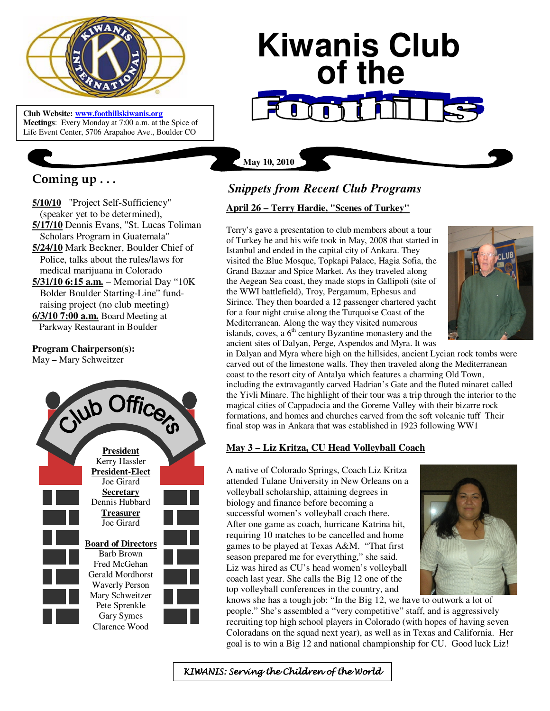

**Club Website: www.foothillskiwanis.org Meetings**: Every Monday at 7:00 a.m. at the Spice of Life Event Center, 5706 Arapahoe Ave., Boulder CO

# **Coming up . . .**

**5/10/10** "Project Self-Sufficiency" (speaker yet to be determined), **5/17/10** Dennis Evans, "St. Lucas Toliman Scholars Program in Guatemala" **5/24/10** Mark Beckner, Boulder Chief of Police, talks about the rules/laws for medical marijuana in Colorado **5/31/10 6:15 a.m.** – Memorial Day "10K Bolder Boulder Starting-Line" fund-

 raising project (no club meeting) **6/3/10 7:00 a.m.** Board Meeting at

Parkway Restaurant in Boulder

## **Program Chairperson(s):**

May – Mary Schweitzer



# **Kiwanis Club of the**

**May 10, 2010**

# *Snippets from Recent Club Programs*

#### **April 26 – Terry Hardie, "Scenes of Turkey"**

Terry's gave a presentation to club members about a tour of Turkey he and his wife took in May, 2008 that started in Istanbul and ended in the capital city of Ankara. They visited the Blue Mosque, Topkapi Palace, Hagia Sofia, the Grand Bazaar and Spice Market. As they traveled along the Aegean Sea coast, they made stops in Gallipoli (site of the WWI battlefield), Troy, Pergamum, Ephesus and Sirince. They then boarded a 12 passenger chartered yacht for a four night cruise along the Turquoise Coast of the Mediterranean. Along the way they visited numerous islands, coves, a  $6<sup>th</sup>$  century Byzantine monastery and the ancient sites of Dalyan, Perge, Aspendos and Myra. It was



in Dalyan and Myra where high on the hillsides, ancient Lycian rock tombs were carved out of the limestone walls. They then traveled along the Mediterranean coast to the resort city of Antalya which features a charming Old Town, including the extravagantly carved Hadrian's Gate and the fluted minaret called the Yivli Minare. The highlight of their tour was a trip through the interior to the magical cities of Cappadocia and the Goreme Valley with their bizarre rock formations, and homes and churches carved from the soft volcanic tuff Their final stop was in Ankara that was established in 1923 following WW1

## **May 3 – Liz Kritza, CU Head Volleyball Coach**

A native of Colorado Springs, Coach Liz Kritza attended Tulane University in New Orleans on a volleyball scholarship, attaining degrees in biology and finance before becoming a successful women's volleyball coach there. After one game as coach, hurricane Katrina hit, requiring 10 matches to be cancelled and home games to be played at Texas A&M. "That first season prepared me for everything," she said. Liz was hired as CU's head women's volleyball coach last year. She calls the Big 12 one of the top volleyball conferences in the country, and



knows she has a tough job: "In the Big 12, we have to outwork a lot of people." She's assembled a "very competitive" staff, and is aggressively recruiting top high school players in Colorado (with hopes of having seven Coloradans on the squad next year), as well as in Texas and California. Her goal is to win a Big 12 and national championship for CU. Good luck Liz!